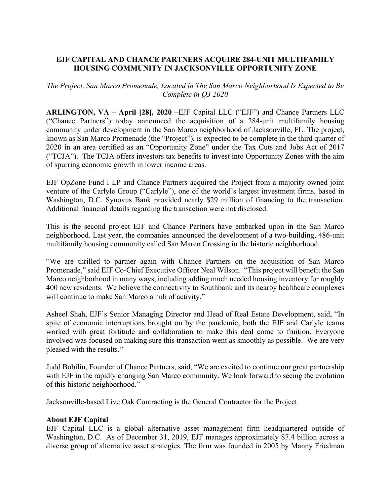# **EJF CAPITAL AND CHANCE PARTNERS ACQUIRE 284-UNIT MULTIFAMILY HOUSING COMMUNITY IN JACKSONVILLE OPPORTUNITY ZONE**

# *The Project, San Marco Promenade, Located in The San Marco Neighborhood Is Expected to Be Complete in Q3 2020*

**ARLINGTON, VA – April [28], 2020** –EJF Capital LLC ("EJF") and Chance Partners LLC ("Chance Partners") today announced the acquisition of a 284-unit multifamily housing community under development in the San Marco neighborhood of Jacksonville, FL. The project, known as San Marco Promenade (the "Project"), is expected to be complete in the third quarter of 2020 in an area certified as an "Opportunity Zone" under the Tax Cuts and Jobs Act of 2017 ("TCJA"). The TCJA offers investors tax benefits to invest into Opportunity Zones with the aim of spurring economic growth in lower income areas.

EJF OpZone Fund I LP and Chance Partners acquired the Project from a majority owned joint venture of the Carlyle Group ("Carlyle"), one of the world's largest investment firms, based in Washington, D.C. Synovus Bank provided nearly \$29 million of financing to the transaction. Additional financial details regarding the transaction were not disclosed.

This is the second project EJF and Chance Partners have embarked upon in the San Marco neighborhood. Last year, the companies announced the development of a two-building, 486-unit multifamily housing community called San Marco Crossing in the historic neighborhood.

"We are thrilled to partner again with Chance Partners on the acquisition of San Marco Promenade," said EJF Co-Chief Executive Officer Neal Wilson. "This project will benefit the San Marco neighborhood in many ways, including adding much needed housing inventory for roughly 400 new residents. We believe the connectivity to Southbank and its nearby healthcare complexes will continue to make San Marco a hub of activity."

Asheel Shah, EJF's Senior Managing Director and Head of Real Estate Development, said, "In spite of economic interruptions brought on by the pandemic, both the EJF and Carlyle teams worked with great fortitude and collaboration to make this deal come to fruition. Everyone involved was focused on making sure this transaction went as smoothly as possible. We are very pleased with the results."

Judd Bobilin, Founder of Chance Partners, said, "We are excited to continue our great partnership with EJF in the rapidly changing San Marco community. We look forward to seeing the evolution of this historic neighborhood."

Jacksonville-based Live Oak Contracting is the General Contractor for the Project.

#### **About EJF Capital**

EJF Capital LLC is a global alternative asset management firm headquartered outside of Washington, D.C. As of December 31, 2019, EJF manages approximately \$7.4 billion across a diverse group of alternative asset strategies. The firm was founded in 2005 by Manny Friedman